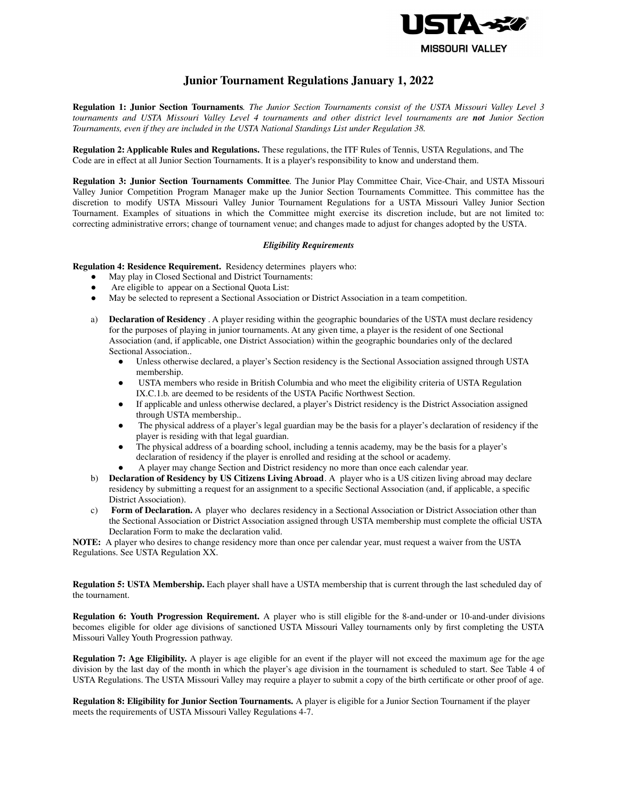

# **Junior Tournament Regulations January 1, 2022**

Regulation 1: Junior Section Tournaments. The Junior Section Tournaments consist of the USTA Missouri Valley Level 3 tournaments and USTA Missouri Valley Level 4 tournaments and other district level tournaments are not Junior Section *Tournaments, even if they are included in the USTA National Standings List under Regulation 38.*

**Regulation 2: Applicable Rules and Regulations.** These regulations, the ITF Rules of Tennis, USTA Regulations, and The Code are in effect at all Junior Section Tournaments. It is a player's responsibility to know and understand them.

**Regulation 3: Junior Section Tournaments Committee***.* The Junior Play Committee Chair, Vice-Chair, and USTA Missouri Valley Junior Competition Program Manager make up the Junior Section Tournaments Committee. This committee has the discretion to modify USTA Missouri Valley Junior Tournament Regulations for a USTA Missouri Valley Junior Section Tournament. Examples of situations in which the Committee might exercise its discretion include, but are not limited to: correcting administrative errors; change of tournament venue; and changes made to adjust for changes adopted by the USTA.

# *Eligibility Requirements*

**Regulation 4: Residence Requirement.** Residency determines players who:

- May play in Closed Sectional and District Tournaments:
- Are eligible to appear on a Sectional Quota List:
- May be selected to represent a Sectional Association or District Association in a team competition.
- a) **Declaration of Residency** . A player residing within the geographic boundaries of the USTA must declare residency for the purposes of playing in junior tournaments. At any given time, a player is the resident of one Sectional Association (and, if applicable, one District Association) within the geographic boundaries only of the declared Sectional Association..
	- Unless otherwise declared, a player's Section residency is the Sectional Association assigned through USTA membership.
	- USTA members who reside in British Columbia and who meet the eligibility criteria of USTA Regulation IX.C.1.b. are deemed to be residents of the USTA Pacific Northwest Section.
	- If applicable and unless otherwise declared, a player's District residency is the District Association assigned through USTA membership..
	- The physical address of a player's legal guardian may be the basis for a player's declaration of residency if the player is residing with that legal guardian.
	- The physical address of a boarding school, including a tennis academy, may be the basis for a player's declaration of residency if the player is enrolled and residing at the school or academy.
	- A player may change Section and District residency no more than once each calendar year.
- b) **Declaration of Residency by US Citizens Living Abroad**. A player who is a US citizen living abroad may declare residency by submitting a request for an assignment to a specific Sectional Association (and, if applicable, a specific District Association).
- c) **Form of Declaration.** A player who declares residency in a Sectional Association or District Association other than the Sectional Association or District Association assigned through USTA membership must complete the official USTA Declaration Form to make the declaration valid.

**NOTE:** A player who desires to change residency more than once per calendar year, must request a waiver from the USTA Regulations. See USTA Regulation XX.

**Regulation 5: USTA Membership.** Each player shall have a USTA membership that is current through the last scheduled day of the tournament.

**Regulation 6: Youth Progression Requirement.** A player who is still eligible for the 8-and-under or 10-and-under divisions becomes eligible for older age divisions of sanctioned USTA Missouri Valley tournaments only by first completing the USTA Missouri Valley Youth Progression pathway.

**Regulation 7: Age Eligibility.** A player is age eligible for an event if the player will not exceed the maximum age for the age division by the last day of the month in which the player's age division in the tournament is scheduled to start. See Table 4 of USTA Regulations. The USTA Missouri Valley may require a player to submit a copy of the birth certificate or other proof of age.

**Regulation 8: Eligibility for Junior Section Tournaments.** A player is eligible for a Junior Section Tournament if the player meets the requirements of USTA Missouri Valley Regulations 4-7.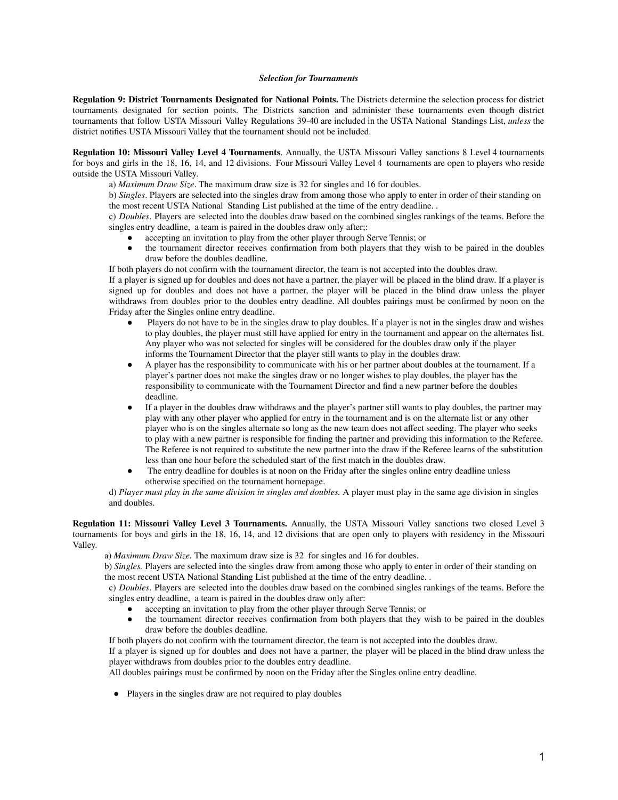#### *Selection for Tournaments*

**Regulation 9: District Tournaments Designated for National Points.** The Districts determine the selection process for district tournaments designated for section points. The Districts sanction and administer these tournaments even though district tournaments that follow USTA Missouri Valley Regulations 39-40 are included in the USTA National Standings List, *unless* the district notifies USTA Missouri Valley that the tournament should not be included.

**Regulation 10: Missouri Valley Level 4 Tournaments**. Annually, the USTA Missouri Valley sanctions 8 Level 4 tournaments for boys and girls in the 18, 16, 14, and 12 divisions. Four Missouri Valley Level 4 tournaments are open to players who reside outside the USTA Missouri Valley.

a) *Maximum Draw Size*. The maximum draw size is 32 for singles and 16 for doubles.

b) *Singles*. Players are selected into the singles draw from among those who apply to enter in order of their standing on the most recent USTA National Standing List published at the time of the entry deadline. .

c) *Doubles*. Players are selected into the doubles draw based on the combined singles rankings of the teams. Before the singles entry deadline, a team is paired in the doubles draw only after;:

- accepting an invitation to play from the other player through Serve Tennis; or<br>• the tournament director receives confirmation from both players that they w
- the tournament director receives confirmation from both players that they wish to be paired in the doubles draw before the doubles deadline.

If both players do not confirm with the tournament director, the team is not accepted into the doubles draw.

If a player is signed up for doubles and does not have a partner, the player will be placed in the blind draw. If a player is signed up for doubles and does not have a partner, the player will be placed in the blind draw unless the player withdraws from doubles prior to the doubles entry deadline. All doubles pairings must be confirmed by noon on the Friday after the Singles online entry deadline.

- Players do not have to be in the singles draw to play doubles. If a player is not in the singles draw and wishes to play doubles, the player must still have applied for entry in the tournament and appear on the alternates list. Any player who was not selected for singles will be considered for the doubles draw only if the player informs the Tournament Director that the player still wants to play in the doubles draw.
- A player has the responsibility to communicate with his or her partner about doubles at the tournament. If a player's partner does not make the singles draw or no longer wishes to play doubles, the player has the responsibility to communicate with the Tournament Director and find a new partner before the doubles deadline.
- If a player in the doubles draw withdraws and the player's partner still wants to play doubles, the partner may play with any other player who applied for entry in the tournament and is on the alternate list or any other player who is on the singles alternate so long as the new team does not affect seeding. The player who seeks to play with a new partner is responsible for finding the partner and providing this information to the Referee. The Referee is not required to substitute the new partner into the draw if the Referee learns of the substitution less than one hour before the scheduled start of the first match in the doubles draw.
- The entry deadline for doubles is at noon on the Friday after the singles online entry deadline unless otherwise specified on the tournament homepage.

d) *Player must play in the same division in singles and doubles.* A player must play in the same age division in singles and doubles.

**Regulation 11: Missouri Valley Level 3 Tournaments.** Annually, the USTA Missouri Valley sanctions two closed Level 3 tournaments for boys and girls in the 18, 16, 14, and 12 divisions that are open only to players with residency in the Missouri Valley.

a) *Maximum Draw Size.* The maximum draw size is 32 for singles and 16 for doubles.

b) *Singles.* Players are selected into the singles draw from among those who apply to enter in order of their standing on the most recent USTA National Standing List published at the time of the entry deadline. .

c) *Doubles*. Players are selected into the doubles draw based on the combined singles rankings of the teams. Before the singles entry deadline, a team is paired in the doubles draw only after:

- accepting an invitation to play from the other player through Serve Tennis; or the tournament director receives confirmation from both players that they w
- the tournament director receives confirmation from both players that they wish to be paired in the doubles draw before the doubles deadline.

If both players do not confirm with the tournament director, the team is not accepted into the doubles draw.

If a player is signed up for doubles and does not have a partner, the player will be placed in the blind draw unless the player withdraws from doubles prior to the doubles entry deadline.

All doubles pairings must be confirmed by noon on the Friday after the Singles online entry deadline.

● Players in the singles draw are not required to play doubles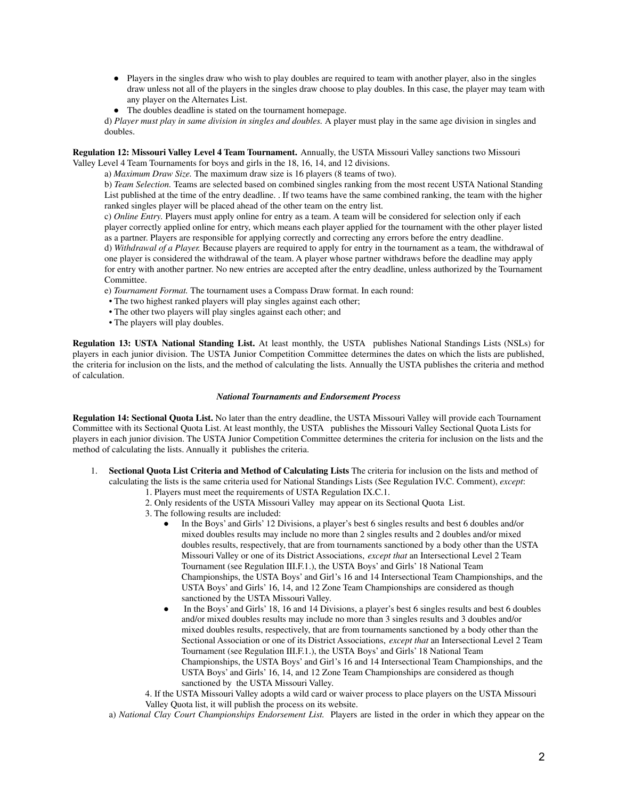- Players in the singles draw who wish to play doubles are required to team with another player, also in the singles draw unless not all of the players in the singles draw choose to play doubles. In this case, the player may team with any player on the Alternates List.
- The doubles deadline is stated on the tournament homepage.

d) *Player must play in same division in singles and doubles.* A player must play in the same age division in singles and doubles.

**Regulation 12: Missouri Valley Level 4 Team Tournament.** Annually, the USTA Missouri Valley sanctions two Missouri Valley Level 4 Team Tournaments for boys and girls in the 18, 16, 14, and 12 divisions.

a) *Maximum Draw Size.* The maximum draw size is 16 players (8 teams of two).

b) *Team Selection.* Teams are selected based on combined singles ranking from the most recent USTA National Standing List published at the time of the entry deadline. . If two teams have the same combined ranking, the team with the higher ranked singles player will be placed ahead of the other team on the entry list.

c) *Online Entry.* Players must apply online for entry as a team. A team will be considered for selection only if each player correctly applied online for entry, which means each player applied for the tournament with the other player listed as a partner. Players are responsible for applying correctly and correcting any errors before the entry deadline. d) *Withdrawal of a Player.* Because players are required to apply for entry in the tournament as a team, the withdrawal of one player is considered the withdrawal of the team. A player whose partner withdraws before the deadline may apply for entry with another partner. No new entries are accepted after the entry deadline, unless authorized by the Tournament Committee.

- e) *Tournament Format.* The tournament uses a Compass Draw format. In each round:
- The two highest ranked players will play singles against each other;
- The other two players will play singles against each other; and
- The players will play doubles.

**Regulation 13: USTA National Standing List.** At least monthly, the USTA publishes National Standings Lists (NSLs) for players in each junior division. The USTA Junior Competition Committee determines the dates on which the lists are published, the criteria for inclusion on the lists, and the method of calculating the lists. Annually the USTA publishes the criteria and method of calculation.

#### *National Tournaments and Endorsement Process*

**Regulation 14: Sectional Quota List.** No later than the entry deadline, the USTA Missouri Valley will provide each Tournament Committee with its Sectional Quota List. At least monthly, the USTA publishes the Missouri Valley Sectional Quota Lists for players in each junior division. The USTA Junior Competition Committee determines the criteria for inclusion on the lists and the method of calculating the lists. Annually it publishes the criteria.

- 1. **Sectional Quota List Criteria and Method of Calculating Lists** The criteria for inclusion on the lists and method of calculating the lists is the same criteria used for National Standings Lists (See Regulation IV.C. Comment), *except*: 1. Players must meet the requirements of USTA Regulation IX.C.1.
	- 2. Only residents of the USTA Missouri Valley may appear on its Sectional Quota List.
	- 3. The following results are included:
		- In the Boys' and Girls' 12 Divisions, a player's best 6 singles results and best 6 doubles and/or mixed doubles results may include no more than 2 singles results and 2 doubles and/or mixed doubles results, respectively, that are from tournaments sanctioned by a body other than the USTA Missouri Valley or one of its District Associations, *except that* an Intersectional Level 2 Team Tournament (see Regulation III.F.1.), the USTA Boys' and Girls' 18 National Team Championships, the USTA Boys' and Girl's 16 and 14 Intersectional Team Championships, and the USTA Boys' and Girls' 16, 14, and 12 Zone Team Championships are considered as though sanctioned by the USTA Missouri Valley.
		- In the Boys' and Girls' 18, 16 and 14 Divisions, a player's best 6 singles results and best 6 doubles and/or mixed doubles results may include no more than 3 singles results and 3 doubles and/or mixed doubles results, respectively, that are from tournaments sanctioned by a body other than the Sectional Association or one of its District Associations, *except that* an Intersectional Level 2 Team Tournament (see Regulation III.F.1.), the USTA Boys' and Girls' 18 National Team Championships, the USTA Boys' and Girl's 16 and 14 Intersectional Team Championships, and the USTA Boys' and Girls' 16, 14, and 12 Zone Team Championships are considered as though sanctioned by the USTA Missouri Valley.

4. If the USTA Missouri Valley adopts a wild card or waiver process to place players on the USTA Missouri Valley Quota list, it will publish the process on its website.

a) *National Clay Court Championships Endorsement List.* Players are listed in the order in which they appear on the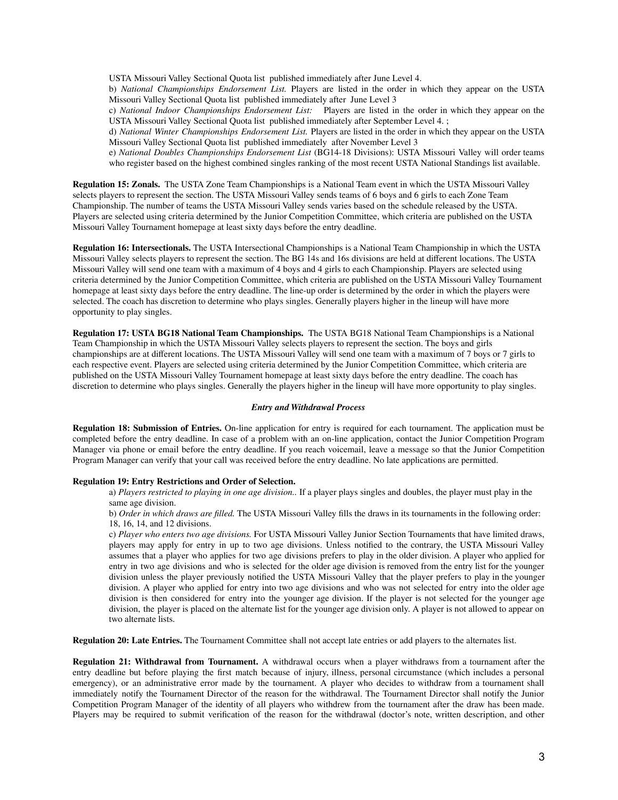USTA Missouri Valley Sectional Quota list published immediately after June Level 4.

b) *National Championships Endorsement List.* Players are listed in the order in which they appear on the USTA Missouri Valley Sectional Quota list published immediately after June Level 3

c) *National Indoor Championships Endorsement List:* Players are listed in the order in which they appear on the USTA Missouri Valley Sectional Quota list published immediately after September Level 4. ;

d) *National Winter Championships Endorsement List.* Players are listed in the order in which they appear on the USTA Missouri Valley Sectional Quota list published immediately after November Level 3

e) *National Doubles Championships Endorsement List* (BG14-18 Divisions): USTA Missouri Valley will order teams who register based on the highest combined singles ranking of the most recent USTA National Standings list available.

**Regulation 15: Zonals.** The USTA Zone Team Championships is a National Team event in which the USTA Missouri Valley selects players to represent the section. The USTA Missouri Valley sends teams of 6 boys and 6 girls to each Zone Team Championship. The number of teams the USTA Missouri Valley sends varies based on the schedule released by the USTA. Players are selected using criteria determined by the Junior Competition Committee, which criteria are published on the USTA Missouri Valley Tournament homepage at least sixty days before the entry deadline.

**Regulation 16: Intersectionals.** The USTA Intersectional Championships is a National Team Championship in which the USTA Missouri Valley selects players to represent the section. The BG 14s and 16s divisions are held at different locations. The USTA Missouri Valley will send one team with a maximum of 4 boys and 4 girls to each Championship. Players are selected using criteria determined by the Junior Competition Committee, which criteria are published on the USTA Missouri Valley Tournament homepage at least sixty days before the entry deadline. The line-up order is determined by the order in which the players were selected. The coach has discretion to determine who plays singles. Generally players higher in the lineup will have more opportunity to play singles.

**Regulation 17: USTA BG18 National Team Championships.** The USTA BG18 National Team Championships is a National Team Championship in which the USTA Missouri Valley selects players to represent the section. The boys and girls championships are at different locations. The USTA Missouri Valley will send one team with a maximum of 7 boys or 7 girls to each respective event. Players are selected using criteria determined by the Junior Competition Committee, which criteria are published on the USTA Missouri Valley Tournament homepage at least sixty days before the entry deadline. The coach has discretion to determine who plays singles. Generally the players higher in the lineup will have more opportunity to play singles.

#### *Entry and Withdrawal Process*

**Regulation 18: Submission of Entries.** On-line application for entry is required for each tournament. The application must be completed before the entry deadline. In case of a problem with an on-line application, contact the Junior Competition Program Manager via phone or email before the entry deadline. If you reach voicemail, leave a message so that the Junior Competition Program Manager can verify that your call was received before the entry deadline. No late applications are permitted.

## **Regulation 19: Entry Restrictions and Order of Selection.**

a) *Players restricted to playing in one age division..* If a player plays singles and doubles, the player must play in the same age division.

b) *Order in which draws are filled.* The USTA Missouri Valley fills the draws in its tournaments in the following order: 18, 16, 14, and 12 divisions.

c) *Player who enters two age divisions.* For USTA Missouri Valley Junior Section Tournaments that have limited draws, players may apply for entry in up to two age divisions. Unless notified to the contrary, the USTA Missouri Valley assumes that a player who applies for two age divisions prefers to play in the older division. A player who applied for entry in two age divisions and who is selected for the older age division is removed from the entry list for the younger division unless the player previously notified the USTA Missouri Valley that the player prefers to play in the younger division. A player who applied for entry into two age divisions and who was not selected for entry into the older age division is then considered for entry into the younger age division. If the player is not selected for the younger age division, the player is placed on the alternate list for the younger age division only. A player is not allowed to appear on two alternate lists.

**Regulation 20: Late Entries.** The Tournament Committee shall not accept late entries or add players to the alternates list.

**Regulation 21: Withdrawal from Tournament.** A withdrawal occurs when a player withdraws from a tournament after the entry deadline but before playing the first match because of injury, illness, personal circumstance (which includes a personal emergency), or an administrative error made by the tournament. A player who decides to withdraw from a tournament shall immediately notify the Tournament Director of the reason for the withdrawal. The Tournament Director shall notify the Junior Competition Program Manager of the identity of all players who withdrew from the tournament after the draw has been made. Players may be required to submit verification of the reason for the withdrawal (doctor's note, written description, and other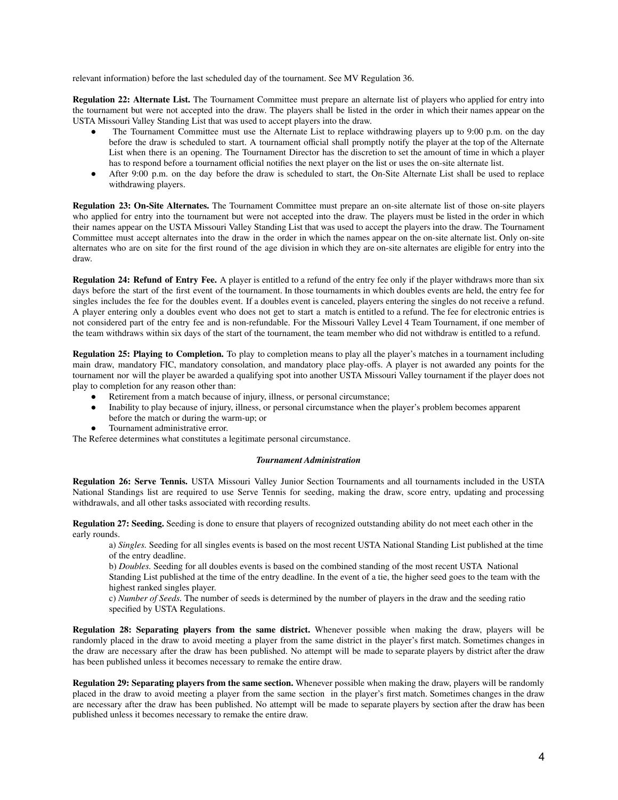relevant information) before the last scheduled day of the tournament. See MV Regulation 36.

**Regulation 22: Alternate List.** The Tournament Committee must prepare an alternate list of players who applied for entry into the tournament but were not accepted into the draw. The players shall be listed in the order in which their names appear on the USTA Missouri Valley Standing List that was used to accept players into the draw.

- The Tournament Committee must use the Alternate List to replace withdrawing players up to 9:00 p.m. on the day before the draw is scheduled to start. A tournament official shall promptly notify the player at the top of the Alternate List when there is an opening. The Tournament Director has the discretion to set the amount of time in which a player has to respond before a tournament official notifies the next player on the list or uses the on-site alternate list.
- After 9:00 p.m. on the day before the draw is scheduled to start, the On-Site Alternate List shall be used to replace withdrawing players.

**Regulation 23: On-Site Alternates.** The Tournament Committee must prepare an on-site alternate list of those on-site players who applied for entry into the tournament but were not accepted into the draw. The players must be listed in the order in which their names appear on the USTA Missouri Valley Standing List that was used to accept the players into the draw. The Tournament Committee must accept alternates into the draw in the order in which the names appear on the on-site alternate list. Only on-site alternates who are on site for the first round of the age division in which they are on-site alternates are eligible for entry into the draw.

**Regulation 24: Refund of Entry Fee.** A player is entitled to a refund of the entry fee only if the player withdraws more than six days before the start of the first event of the tournament. In those tournaments in which doubles events are held, the entry fee for singles includes the fee for the doubles event. If a doubles event is canceled, players entering the singles do not receive a refund. A player entering only a doubles event who does not get to start a match is entitled to a refund. The fee for electronic entries is not considered part of the entry fee and is non-refundable. For the Missouri Valley Level 4 Team Tournament, if one member of the team withdraws within six days of the start of the tournament, the team member who did not withdraw is entitled to a refund.

**Regulation 25: Playing to Completion.** To play to completion means to play all the player's matches in a tournament including main draw, mandatory FIC, mandatory consolation, and mandatory place play-offs. A player is not awarded any points for the tournament nor will the player be awarded a qualifying spot into another USTA Missouri Valley tournament if the player does not play to completion for any reason other than:

- Retirement from a match because of injury, illness, or personal circumstance;
- Inability to play because of injury, illness, or personal circumstance when the player's problem becomes apparent before the match or during the warm-up; or
- Tournament administrative error.

The Referee determines what constitutes a legitimate personal circumstance.

#### *Tournament Administration*

**Regulation 26: Serve Tennis.** USTA Missouri Valley Junior Section Tournaments and all tournaments included in the USTA National Standings list are required to use Serve Tennis for seeding, making the draw, score entry, updating and processing withdrawals, and all other tasks associated with recording results.

**Regulation 27: Seeding.** Seeding is done to ensure that players of recognized outstanding ability do not meet each other in the early rounds.

a) *Singles.* Seeding for all singles events is based on the most recent USTA National Standing List published at the time of the entry deadline.

b) *Doubles.* Seeding for all doubles events is based on the combined standing of the most recent USTA National

Standing List published at the time of the entry deadline. In the event of a tie, the higher seed goes to the team with the highest ranked singles player.

c) *Number of Seeds.* The number of seeds is determined by the number of players in the draw and the seeding ratio specified by USTA Regulations.

**Regulation 28: Separating players from the same district.** Whenever possible when making the draw, players will be randomly placed in the draw to avoid meeting a player from the same district in the player's first match. Sometimes changes in the draw are necessary after the draw has been published. No attempt will be made to separate players by district after the draw has been published unless it becomes necessary to remake the entire draw.

**Regulation 29: Separating players from the same section.** Whenever possible when making the draw, players will be randomly placed in the draw to avoid meeting a player from the same section in the player's first match. Sometimes changes in the draw are necessary after the draw has been published. No attempt will be made to separate players by section after the draw has been published unless it becomes necessary to remake the entire draw.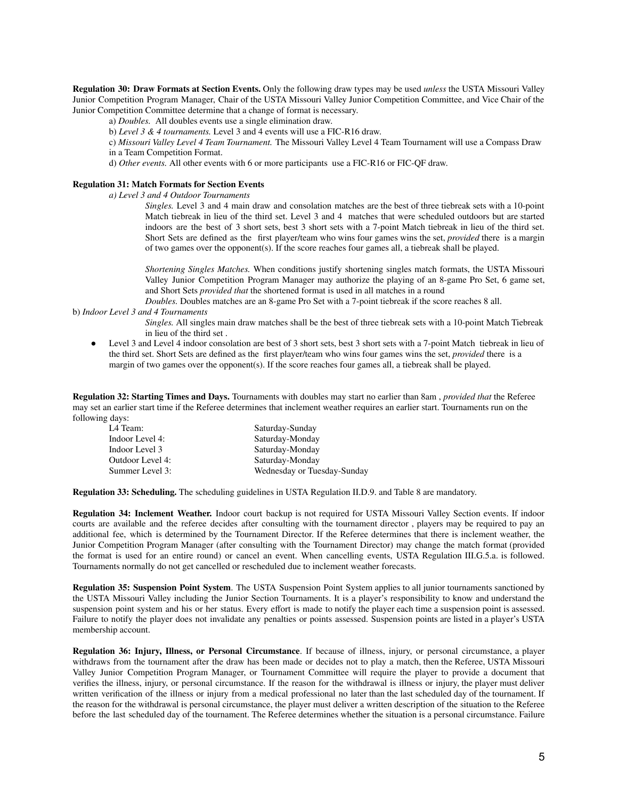**Regulation 30: Draw Formats at Section Events.** Only the following draw types may be used *unless* the USTA Missouri Valley Junior Competition Program Manager, Chair of the USTA Missouri Valley Junior Competition Committee, and Vice Chair of the Junior Competition Committee determine that a change of format is necessary.

a) *Doubles.* All doubles events use a single elimination draw.

b) *Level 3 & 4 tournaments.* Level 3 and 4 events will use a FIC-R16 draw.

c) *Missouri Valley Level 4 Team Tournament.* The Missouri Valley Level 4 Team Tournament will use a Compass Draw in a Team Competition Format.

d) *Other events.* All other events with 6 or more participants use a FIC-R16 or FIC-QF draw.

# **Regulation 31: Match Formats for Section Events**

*a) Level 3 and 4 Outdoor Tournaments*

*Singles.* Level 3 and 4 main draw and consolation matches are the best of three tiebreak sets with a 10-point Match tiebreak in lieu of the third set. Level 3 and 4 matches that were scheduled outdoors but are started indoors are the best of 3 short sets, best 3 short sets with a 7-point Match tiebreak in lieu of the third set. Short Sets are defined as the first player/team who wins four games wins the set, *provided* there is a margin of two games over the opponent(s). If the score reaches four games all, a tiebreak shall be played.

*Shortening Singles Matches.* When conditions justify shortening singles match formats, the USTA Missouri Valley Junior Competition Program Manager may authorize the playing of an 8-game Pro Set, 6 game set, and Short Sets *provided that* the shortened format is used in all matches in a round

*Doubles.* Doubles matches are an 8-game Pro Set with a 7-point tiebreak if the score reaches 8 all.

#### b) *Indoor Level 3 and 4 Tournaments*

*Singles.* All singles main draw matches shall be the best of three tiebreak sets with a 10-point Match Tiebreak in lieu of the third set .

Level 3 and Level 4 indoor consolation are best of 3 short sets, best 3 short sets with a 7-point Match tiebreak in lieu of the third set. Short Sets are defined as the first player/team who wins four games wins the set, *provided* there is a margin of two games over the opponent(s). If the score reaches four games all, a tiebreak shall be played.

**Regulation 32: Starting Times and Days.** Tournaments with doubles may start no earlier than 8am , *provided that* the Referee may set an earlier start time if the Referee determines that inclement weather requires an earlier start. Tournaments run on the following days:

| L4 Team:         | Saturday-Sunday             |
|------------------|-----------------------------|
| Indoor Level 4:  | Saturday-Monday             |
| Indoor Level 3   | Saturday-Monday             |
| Outdoor Level 4: | Saturday-Monday             |
| Summer Level 3:  | Wednesday or Tuesday-Sunday |

**Regulation 33: Scheduling.** The scheduling guidelines in USTA Regulation II.D.9. and Table 8 are mandatory.

**Regulation 34: Inclement Weather.** Indoor court backup is not required for USTA Missouri Valley Section events. If indoor courts are available and the referee decides after consulting with the tournament director , players may be required to pay an additional fee, which is determined by the Tournament Director. If the Referee determines that there is inclement weather, the Junior Competition Program Manager (after consulting with the Tournament Director) may change the match format (provided the format is used for an entire round) or cancel an event. When cancelling events, USTA Regulation III.G.5.a. is followed. Tournaments normally do not get cancelled or rescheduled due to inclement weather forecasts.

**Regulation 35: Suspension Point System**. The USTA Suspension Point System applies to all junior tournaments sanctioned by the USTA Missouri Valley including the Junior Section Tournaments. It is a player's responsibility to know and understand the suspension point system and his or her status. Every effort is made to notify the player each time a suspension point is assessed. Failure to notify the player does not invalidate any penalties or points assessed. Suspension points are listed in a player's USTA membership account.

**Regulation 36: Injury, Illness, or Personal Circumstance**. If because of illness, injury, or personal circumstance, a player withdraws from the tournament after the draw has been made or decides not to play a match, then the Referee, USTA Missouri Valley Junior Competition Program Manager, or Tournament Committee will require the player to provide a document that verifies the illness, injury, or personal circumstance. If the reason for the withdrawal is illness or injury, the player must deliver written verification of the illness or injury from a medical professional no later than the last scheduled day of the tournament. If the reason for the withdrawal is personal circumstance, the player must deliver a written description of the situation to the Referee before the last scheduled day of the tournament. The Referee determines whether the situation is a personal circumstance. Failure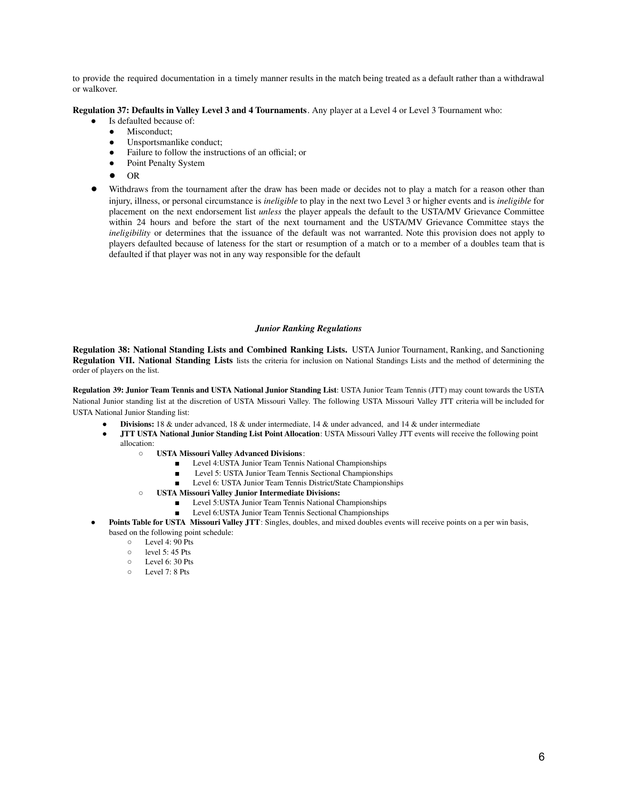to provide the required documentation in a timely manner results in the match being treated as a default rather than a withdrawal or walkover.

## **Regulation 37: Defaults in Valley Level 3 and 4 Tournaments**. Any player at a Level 4 or Level 3 Tournament who:

- Is defaulted because of:
- Misconduct:
- Unsportsmanlike conduct;
- Failure to follow the instructions of an official; or
- Point Penalty System
- OR
- Withdraws from the tournament after the draw has been made or decides not to play a match for a reason other than injury, illness, or personal circumstance is *ineligible* to play in the next two Level 3 or higher events and is *ineligible* for placement on the next endorsement list *unless* the player appeals the default to the USTA/MV Grievance Committee within 24 hours and before the start of the next tournament and the USTA/MV Grievance Committee stays the *ineligibility* or determines that the issuance of the default was not warranted. Note this provision does not apply to players defaulted because of lateness for the start or resumption of a match or to a member of a doubles team that is defaulted if that player was not in any way responsible for the default

#### *Junior Ranking Regulations*

**Regulation 38: National Standing Lists and Combined Ranking Lists.** USTA Junior Tournament, Ranking, and Sanctioning **Regulation VII. National Standing Lists** lists the criteria for inclusion on National Standings Lists and the method of determining the order of players on the list.

**Regulation 39: Junior Team Tennis and USTA National Junior Standing List**: USTA Junior Team Tennis (JTT) may count towards the USTA National Junior standing list at the discretion of USTA Missouri Valley. The following USTA Missouri Valley JTT criteria will be included for USTA National Junior Standing list:

- **Divisions:** 18 & under advanced, 18 & under intermediate, 14 & under advanced, and 14 & under intermediate
- **● JTT USTA National Junior Standing List Point Allocation**: USTA Missouri Valley JTT events will receive the following point allocation:
	- **USTA Missouri Valley Advanced Divisions**:
		- Level 4: USTA Junior Team Tennis National Championships
		- Level 5: USTA Junior Team Tennis Sectional Championships
		- Level 6: USTA Junior Team Tennis District/State Championships
	- **○ USTA Missouri Valley Junior Intermediate Divisions:**
		- Level 5:USTA Junior Team Tennis National Championships
		- Level 6:USTA Junior Team Tennis Sectional Championships
- **Points Table for USTA Missouri Valley JTT**: Singles, doubles, and mixed doubles events will receive points on a per win basis, based on the following point schedule:<br> $\circ$  Level 4: 90 Pts
	- Level 4: 90 Pts
	- $\circ$  level 5: 45 Pts<br> $\circ$  Level 6: 30 Pts
	- $\circ$  Level 6: 30 Pts
	- Level 7: 8 Pts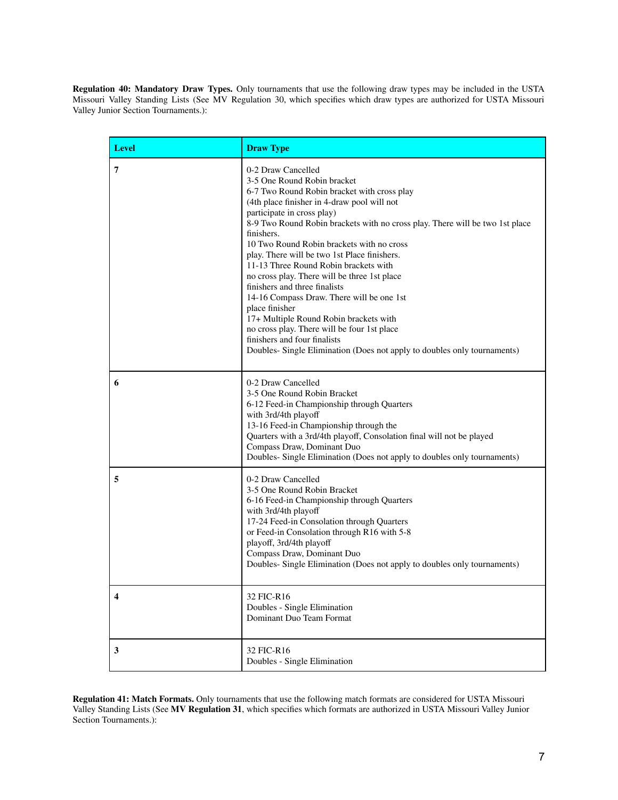**Regulation 40: Mandatory Draw Types.** Only tournaments that use the following draw types may be included in the USTA Missouri Valley Standing Lists (See MV Regulation 30, which specifies which draw types are authorized for USTA Missouri Valley Junior Section Tournaments.):

| <b>Level</b> | <b>Draw Type</b>                                                                                                                                                                                                                                                                                                                                                                                                                                                                                                                                                                                                                                                                                                                                                       |
|--------------|------------------------------------------------------------------------------------------------------------------------------------------------------------------------------------------------------------------------------------------------------------------------------------------------------------------------------------------------------------------------------------------------------------------------------------------------------------------------------------------------------------------------------------------------------------------------------------------------------------------------------------------------------------------------------------------------------------------------------------------------------------------------|
| 7            | 0-2 Draw Cancelled<br>3-5 One Round Robin bracket<br>6-7 Two Round Robin bracket with cross play<br>(4th place finisher in 4-draw pool will not<br>participate in cross play)<br>8-9 Two Round Robin brackets with no cross play. There will be two 1st place<br>finishers.<br>10 Two Round Robin brackets with no cross<br>play. There will be two 1st Place finishers.<br>11-13 Three Round Robin brackets with<br>no cross play. There will be three 1st place<br>finishers and three finalists<br>14-16 Compass Draw. There will be one 1st<br>place finisher<br>17+ Multiple Round Robin brackets with<br>no cross play. There will be four 1st place<br>finishers and four finalists<br>Doubles- Single Elimination (Does not apply to doubles only tournaments) |
| 6            | 0-2 Draw Cancelled<br>3-5 One Round Robin Bracket<br>6-12 Feed-in Championship through Quarters<br>with 3rd/4th playoff<br>13-16 Feed-in Championship through the<br>Quarters with a 3rd/4th playoff, Consolation final will not be played<br>Compass Draw, Dominant Duo<br>Doubles- Single Elimination (Does not apply to doubles only tournaments)                                                                                                                                                                                                                                                                                                                                                                                                                   |
| 5            | 0-2 Draw Cancelled<br>3-5 One Round Robin Bracket<br>6-16 Feed-in Championship through Quarters<br>with 3rd/4th playoff<br>17-24 Feed-in Consolation through Quarters<br>or Feed-in Consolation through R16 with 5-8<br>playoff, 3rd/4th playoff<br>Compass Draw, Dominant Duo<br>Doubles- Single Elimination (Does not apply to doubles only tournaments)                                                                                                                                                                                                                                                                                                                                                                                                             |
| 4            | 32 FIC-R16<br>Doubles - Single Elimination<br>Dominant Duo Team Format                                                                                                                                                                                                                                                                                                                                                                                                                                                                                                                                                                                                                                                                                                 |
| 3            | 32 FIC-R16<br>Doubles - Single Elimination                                                                                                                                                                                                                                                                                                                                                                                                                                                                                                                                                                                                                                                                                                                             |

**Regulation 41: Match Formats.** Only tournaments that use the following match formats are considered for USTA Missouri Valley Standing Lists (See **MV Regulation 31**, which specifies which formats are authorized in USTA Missouri Valley Junior Section Tournaments.):